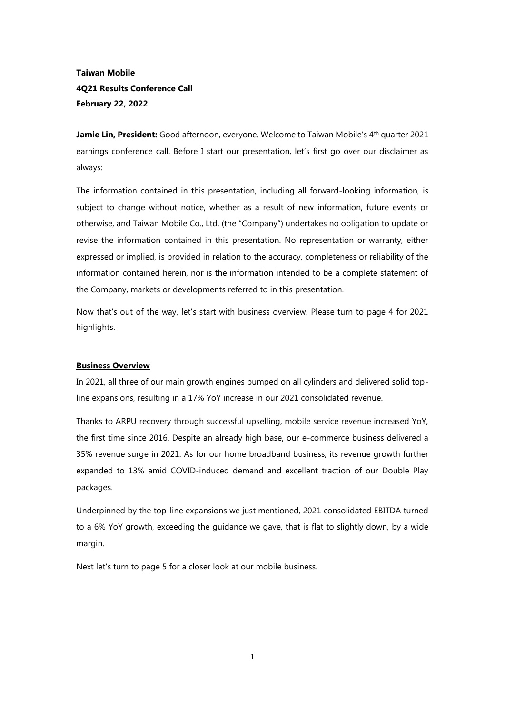# **Taiwan Mobile 4Q21 Results Conference Call February 22, 2022**

**Jamie Lin, President:** Good afternoon, everyone. Welcome to Taiwan Mobile's 4<sup>th</sup> quarter 2021 earnings conference call. Before I start our presentation, let's first go over our disclaimer as always:

The information contained in this presentation, including all forward-looking information, is subject to change without notice, whether as a result of new information, future events or otherwise, and Taiwan Mobile Co., Ltd. (the "Company") undertakes no obligation to update or revise the information contained in this presentation. No representation or warranty, either expressed or implied, is provided in relation to the accuracy, completeness or reliability of the information contained herein, nor is the information intended to be a complete statement of the Company, markets or developments referred to in this presentation.

Now that's out of the way, let's start with business overview. Please turn to page 4 for 2021 highlights.

# **Business Overview**

In 2021, all three of our main growth engines pumped on all cylinders and delivered solid topline expansions, resulting in a 17% YoY increase in our 2021 consolidated revenue.

Thanks to ARPU recovery through successful upselling, mobile service revenue increased YoY, the first time since 2016. Despite an already high base, our e-commerce business delivered a 35% revenue surge in 2021. As for our home broadband business, its revenue growth further expanded to 13% amid COVID-induced demand and excellent traction of our Double Play packages.

Underpinned by the top-line expansions we just mentioned, 2021 consolidated EBITDA turned to a 6% YoY growth, exceeding the guidance we gave, that is flat to slightly down, by a wide margin.

Next let's turn to page 5 for a closer look at our mobile business.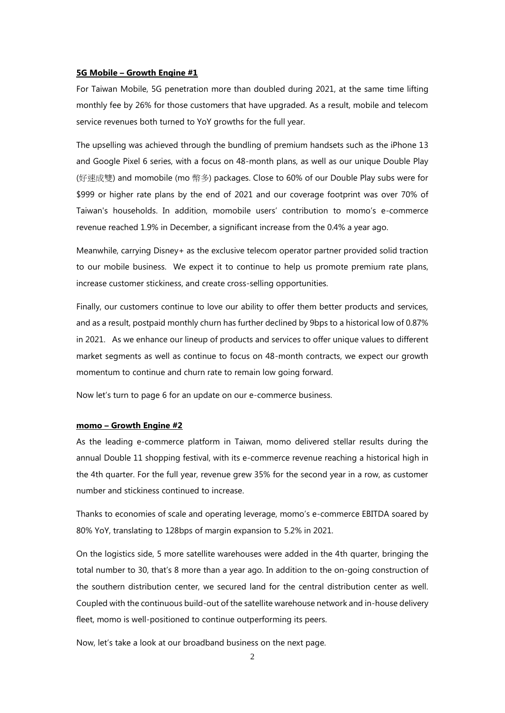### **5G Mobile – Growth Engine #1**

For Taiwan Mobile, 5G penetration more than doubled during 2021, at the same time lifting monthly fee by 26% for those customers that have upgraded. As a result, mobile and telecom service revenues both turned to YoY growths for the full year.

The upselling was achieved through the bundling of premium handsets such as the iPhone 13 and Google Pixel 6 series, with a focus on 48-month plans, as well as our unique Double Play (好速成雙) and momobile (mo 幣多) packages. Close to 60% of our Double Play subs were for \$999 or higher rate plans by the end of 2021 and our coverage footprint was over 70% of Taiwan's households. In addition, momobile users' contribution to momo's e-commerce revenue reached 1.9% in December, a significant increase from the 0.4% a year ago.

Meanwhile, carrying Disney+ as the exclusive telecom operator partner provided solid traction to our mobile business. We expect it to continue to help us promote premium rate plans, increase customer stickiness, and create cross-selling opportunities.

Finally, our customers continue to love our ability to offer them better products and services, and as a result, postpaid monthly churn has further declined by 9bps to a historical low of 0.87% in 2021. As we enhance our lineup of products and services to offer unique values to different market segments as well as continue to focus on 48-month contracts, we expect our growth momentum to continue and churn rate to remain low going forward.

Now let's turn to page 6 for an update on our e-commerce business.

#### **momo – Growth Engine #2**

As the leading e-commerce platform in Taiwan, momo delivered stellar results during the annual Double 11 shopping festival, with its e-commerce revenue reaching a historical high in the 4th quarter. For the full year, revenue grew 35% for the second year in a row, as customer number and stickiness continued to increase.

Thanks to economies of scale and operating leverage, momo's e-commerce EBITDA soared by 80% YoY, translating to 128bps of margin expansion to 5.2% in 2021.

On the logistics side, 5 more satellite warehouses were added in the 4th quarter, bringing the total number to 30, that's 8 more than a year ago. In addition to the on-going construction of the southern distribution center, we secured land for the central distribution center as well. Coupled with the continuous build-out of the satellite warehouse network and in-house delivery fleet, momo is well-positioned to continue outperforming its peers.

Now, let's take a look at our broadband business on the next page.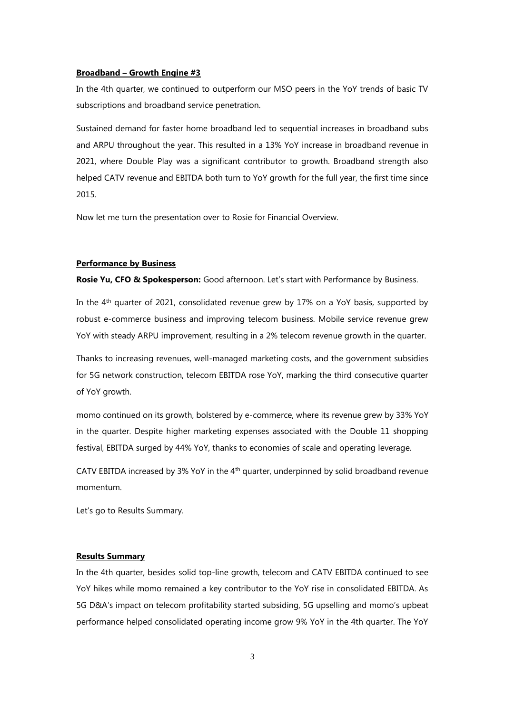### **Broadband – Growth Engine #3**

In the 4th quarter, we continued to outperform our MSO peers in the YoY trends of basic TV subscriptions and broadband service penetration.

Sustained demand for faster home broadband led to sequential increases in broadband subs and ARPU throughout the year. This resulted in a 13% YoY increase in broadband revenue in 2021, where Double Play was a significant contributor to growth. Broadband strength also helped CATV revenue and EBITDA both turn to YoY growth for the full year, the first time since 2015.

Now let me turn the presentation over to Rosie for Financial Overview.

#### **Performance by Business**

**Rosie Yu, CFO & Spokesperson:** Good afternoon. Let's start with Performance by Business.

In the 4th quarter of 2021, consolidated revenue grew by 17% on a YoY basis, supported by robust e-commerce business and improving telecom business. Mobile service revenue grew YoY with steady ARPU improvement, resulting in a 2% telecom revenue growth in the quarter.

Thanks to increasing revenues, well-managed marketing costs, and the government subsidies for 5G network construction, telecom EBITDA rose YoY, marking the third consecutive quarter of YoY growth.

momo continued on its growth, bolstered by e-commerce, where its revenue grew by 33% YoY in the quarter. Despite higher marketing expenses associated with the Double 11 shopping festival, EBITDA surged by 44% YoY, thanks to economies of scale and operating leverage.

CATV EBITDA increased by 3% YoY in the 4th quarter, underpinned by solid broadband revenue momentum.

Let's go to Results Summary.

# **Results Summary**

In the 4th quarter, besides solid top-line growth, telecom and CATV EBITDA continued to see YoY hikes while momo remained a key contributor to the YoY rise in consolidated EBITDA. As 5G D&A's impact on telecom profitability started subsiding, 5G upselling and momo's upbeat performance helped consolidated operating income grow 9% YoY in the 4th quarter. The YoY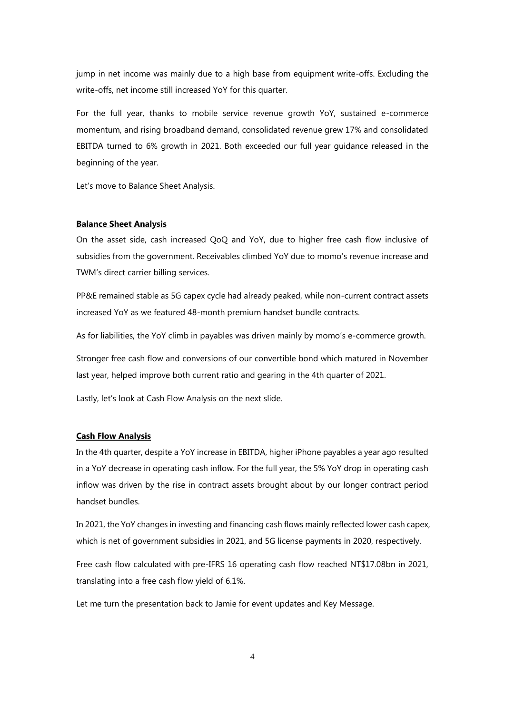jump in net income was mainly due to a high base from equipment write-offs. Excluding the write-offs, net income still increased YoY for this quarter.

For the full year, thanks to mobile service revenue growth YoY, sustained e-commerce momentum, and rising broadband demand, consolidated revenue grew 17% and consolidated EBITDA turned to 6% growth in 2021. Both exceeded our full year guidance released in the beginning of the year.

Let's move to Balance Sheet Analysis.

## **Balance Sheet Analysis**

On the asset side, cash increased QoQ and YoY, due to higher free cash flow inclusive of subsidies from the government. Receivables climbed YoY due to momo's revenue increase and TWM's direct carrier billing services.

PP&E remained stable as 5G capex cycle had already peaked, while non-current contract assets increased YoY as we featured 48-month premium handset bundle contracts.

As for liabilities, the YoY climb in payables was driven mainly by momo's e-commerce growth.

Stronger free cash flow and conversions of our convertible bond which matured in November last year, helped improve both current ratio and gearing in the 4th quarter of 2021.

Lastly, let's look at Cash Flow Analysis on the next slide.

#### **Cash Flow Analysis**

In the 4th quarter, despite a YoY increase in EBITDA, higher iPhone payables a year ago resulted in a YoY decrease in operating cash inflow. For the full year, the 5% YoY drop in operating cash inflow was driven by the rise in contract assets brought about by our longer contract period handset bundles.

In 2021, the YoY changes in investing and financing cash flows mainly reflected lower cash capex, which is net of government subsidies in 2021, and 5G license payments in 2020, respectively.

Free cash flow calculated with pre-IFRS 16 operating cash flow reached NT\$17.08bn in 2021, translating into a free cash flow yield of 6.1%.

Let me turn the presentation back to Jamie for event updates and Key Message.

4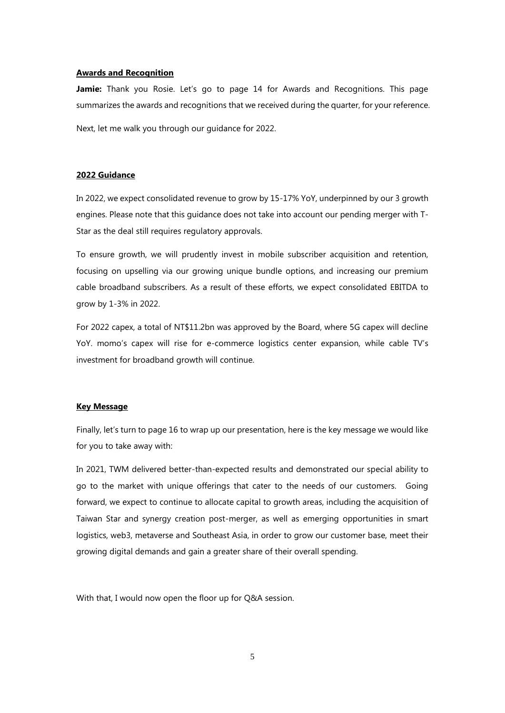### **Awards and Recognition**

Jamie: Thank you Rosie. Let's go to page 14 for Awards and Recognitions. This page summarizes the awards and recognitions that we received during the quarter, for your reference. Next, let me walk you through our guidance for 2022.

# **2022 Guidance**

In 2022, we expect consolidated revenue to grow by 15-17% YoY, underpinned by our 3 growth engines. Please note that this guidance does not take into account our pending merger with T-Star as the deal still requires regulatory approvals.

To ensure growth, we will prudently invest in mobile subscriber acquisition and retention, focusing on upselling via our growing unique bundle options, and increasing our premium cable broadband subscribers. As a result of these efforts, we expect consolidated EBITDA to grow by 1-3% in 2022.

For 2022 capex, a total of NT\$11.2bn was approved by the Board, where 5G capex will decline YoY. momo's capex will rise for e-commerce logistics center expansion, while cable TV's investment for broadband growth will continue.

#### **Key Message**

Finally, let's turn to page 16 to wrap up our presentation, here is the key message we would like for you to take away with:

In 2021, TWM delivered better-than-expected results and demonstrated our special ability to go to the market with unique offerings that cater to the needs of our customers. Going forward, we expect to continue to allocate capital to growth areas, including the acquisition of Taiwan Star and synergy creation post-merger, as well as emerging opportunities in smart logistics, web3, metaverse and Southeast Asia, in order to grow our customer base, meet their growing digital demands and gain a greater share of their overall spending.

With that, I would now open the floor up for Q&A session.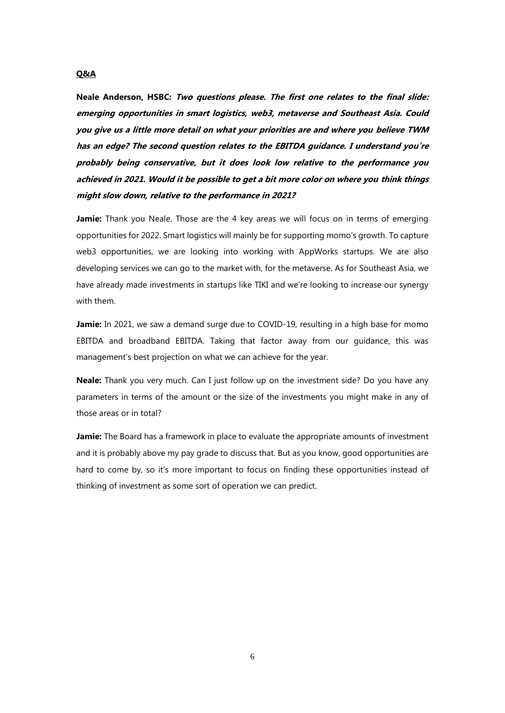# **Neale Anderson, HSBC: Two questions please. The first one relates to the final slide: emerging opportunities in smart logistics, web3, metaverse and Southeast Asia. Could you give us a little more detail on what your priorities are and where you believe TWM has an edge? The second question relates to the EBITDA guidance. I understand you're probably being conservative, but it does look low relative to the performance you achieved in 2021. Would it be possible to get a bit more color on where you think things might slow down, relative to the performance in 2021?**

**Jamie:** Thank you Neale. Those are the 4 key areas we will focus on in terms of emerging opportunities for 2022. Smart logistics will mainly be for supporting momo's growth. To capture web3 opportunities, we are looking into working with AppWorks startups. We are also developing services we can go to the market with, for the metaverse. As for Southeast Asia, we have already made investments in startups like TIKI and we're looking to increase our synergy with them.

**Jamie:** In 2021, we saw a demand surge due to COVID-19, resulting in a high base for momo EBITDA and broadband EBITDA. Taking that factor away from our guidance, this was management's best projection on what we can achieve for the year.

**Neale:** Thank you very much. Can I just follow up on the investment side? Do you have any parameters in terms of the amount or the size of the investments you might make in any of those areas or in total?

**Jamie:** The Board has a framework in place to evaluate the appropriate amounts of investment and it is probably above my pay grade to discuss that. But as you know, good opportunities are hard to come by, so it's more important to focus on finding these opportunities instead of thinking of investment as some sort of operation we can predict.

#### **Q&A**